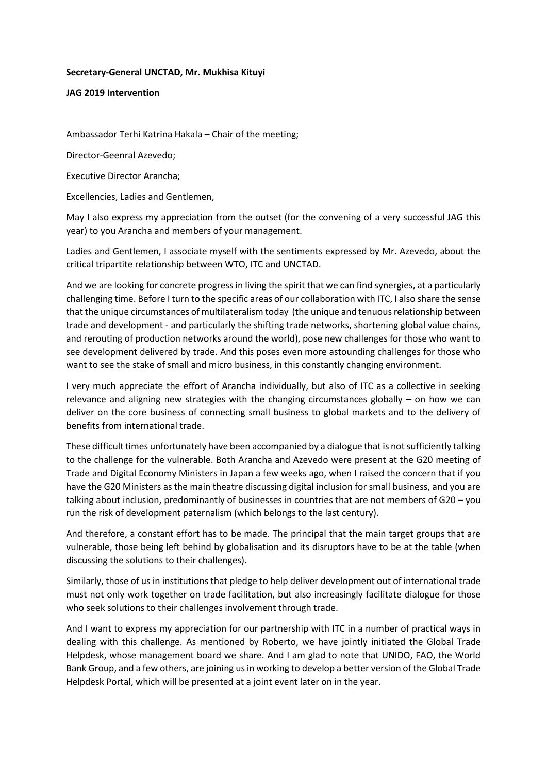## **Secretary-General UNCTAD, Mr. Mukhisa Kituyi**

## **JAG 2019 Intervention**

Ambassador Terhi Katrina Hakala – Chair of the meeting;

Director-Geenral Azevedo;

Executive Director Arancha;

Excellencies, Ladies and Gentlemen,

May I also express my appreciation from the outset (for the convening of a very successful JAG this year) to you Arancha and members of your management.

Ladies and Gentlemen, I associate myself with the sentiments expressed by Mr. Azevedo, about the critical tripartite relationship between WTO, ITC and UNCTAD.

And we are looking for concrete progress in living the spirit that we can find synergies, at a particularly challenging time. Before I turn to the specific areas of our collaboration with ITC, I also share the sense that the unique circumstances of multilateralism today (the unique and tenuous relationship between trade and development - and particularly the shifting trade networks, shortening global value chains, and rerouting of production networks around the world), pose new challenges for those who want to see development delivered by trade. And this poses even more astounding challenges for those who want to see the stake of small and micro business, in this constantly changing environment.

I very much appreciate the effort of Arancha individually, but also of ITC as a collective in seeking relevance and aligning new strategies with the changing circumstances globally – on how we can deliver on the core business of connecting small business to global markets and to the delivery of benefits from international trade.

These difficult times unfortunately have been accompanied by a dialogue that is not sufficiently talking to the challenge for the vulnerable. Both Arancha and Azevedo were present at the G20 meeting of Trade and Digital Economy Ministers in Japan a few weeks ago, when I raised the concern that if you have the G20 Ministers as the main theatre discussing digital inclusion for small business, and you are talking about inclusion, predominantly of businesses in countries that are not members of G20 – you run the risk of development paternalism (which belongs to the last century).

And therefore, a constant effort has to be made. The principal that the main target groups that are vulnerable, those being left behind by globalisation and its disruptors have to be at the table (when discussing the solutions to their challenges).

Similarly, those of us in institutions that pledge to help deliver development out of international trade must not only work together on trade facilitation, but also increasingly facilitate dialogue for those who seek solutions to their challenges involvement through trade.

And I want to express my appreciation for our partnership with ITC in a number of practical ways in dealing with this challenge. As mentioned by Roberto, we have jointly initiated the Global Trade Helpdesk, whose management board we share. And I am glad to note that UNIDO, FAO, the World Bank Group, and a few others, are joining us in working to develop a better version of the Global Trade Helpdesk Portal, which will be presented at a joint event later on in the year.